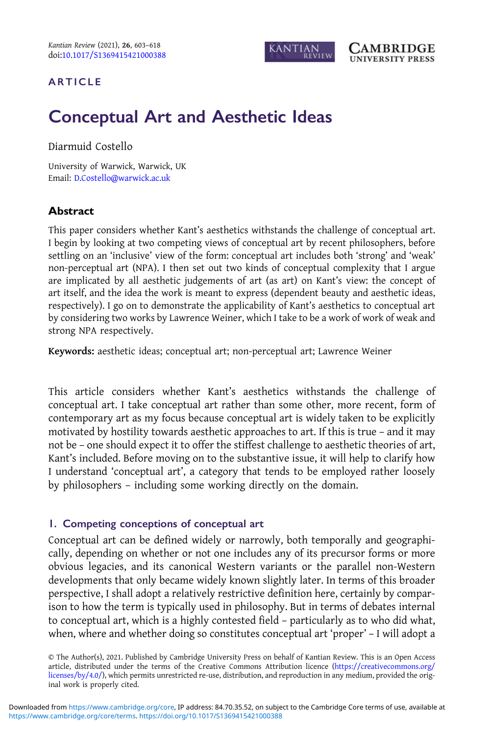

## <span id="page-0-0"></span>ARTICLE

# Conceptual Art and Aesthetic Ideas

Diarmuid Costello

University of Warwick, Warwick, UK Email: [D.Costello@warwick.ac.uk](mailto:D.Costello@warwick.ac.uk)

## Abstract

This paper considers whether Kant's aesthetics withstands the challenge of conceptual art. I begin by looking at two competing views of conceptual art by recent philosophers, before settling on an 'inclusive' view of the form: conceptual art includes both 'strong' and 'weak' non-perceptual art (NPA). I then set out two kinds of conceptual complexity that I argue are implicated by all aesthetic judgements of art (as art) on Kant's view: the concept of art itself, and the idea the work is meant to express (dependent beauty and aesthetic ideas, respectively). I go on to demonstrate the applicability of Kant's aesthetics to conceptual art by considering two works by Lawrence Weiner, which I take to be a work of work of weak and strong NPA respectively.

Keywords: aesthetic ideas; conceptual art; non-perceptual art; Lawrence Weiner

This article considers whether Kant's aesthetics withstands the challenge of conceptual art. I take conceptual art rather than some other, more recent, form of contemporary art as my focus because conceptual art is widely taken to be explicitly motivated by hostility towards aesthetic approaches to art. If this is true – and it may not be – one should expect it to offer the stiffest challenge to aesthetic theories of art, Kant's included. Before moving on to the substantive issue, it will help to clarify how I understand 'conceptual art', a category that tends to be employed rather loosely by philosophers – including some working directly on the domain.

## 1. Competing conceptions of conceptual art

Conceptual art can be defined widely or narrowly, both temporally and geographically, depending on whether or not one includes any of its precursor forms or more obvious legacies, and its canonical Western variants or the parallel non-Western developments that only became widely known slightly later. In terms of this broader perspective, I shall adopt a relatively restrictive definition here, certainly by comparison to how the term is typically used in philosophy. But in terms of debates internal to conceptual art, which is a highly contested field – particularly as to who did what, when, where and whether doing so constitutes conceptual art 'proper' – I will adopt a

© The Author(s), 2021. Published by Cambridge University Press on behalf of Kantian Review. This is an Open Access article, distributed under the terms of the Creative Commons Attribution licence [\(https://creativecommons.org/](https://creativecommons.org/licenses/by/4.0/) [licenses/by/4.0/\)](https://creativecommons.org/licenses/by/4.0/), which permits unrestricted re-use, distribution, and reproduction in any medium, provided the original work is properly cited.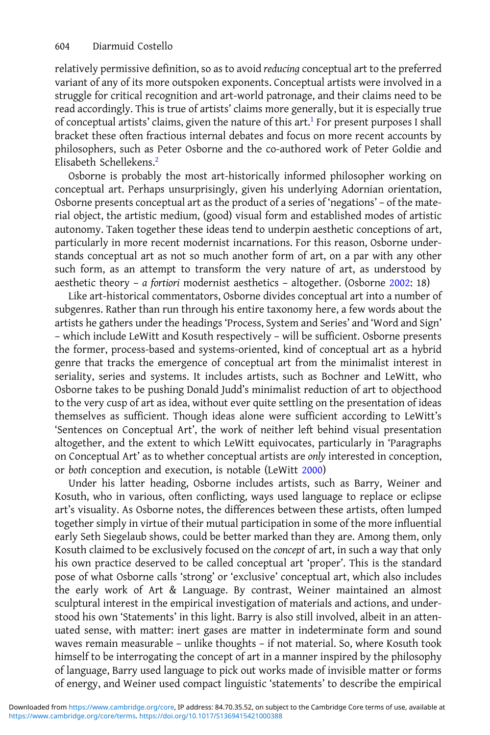relatively permissive definition, so as to avoid reducing conceptual art to the preferred variant of any of its more outspoken exponents. Conceptual artists were involved in a struggle for critical recognition and art-world patronage, and their claims need to be read accordingly. This is true of artists' claims more generally, but it is especially true of conceptual artists' claims, given the nature of this art.<sup>[1](#page-13-0)</sup> For present purposes I shall bracket these often fractious internal debates and focus on more recent accounts by philosophers, such as Peter Osborne and the co-authored work of Peter Goldie and Elisabeth Schellekens[.2](#page-13-0)

Osborne is probably the most art-historically informed philosopher working on conceptual art. Perhaps unsurprisingly, given his underlying Adornian orientation, Osborne presents conceptual art as the product of a series of 'negations' – of the material object, the artistic medium, (good) visual form and established modes of artistic autonomy. Taken together these ideas tend to underpin aesthetic conceptions of art, particularly in more recent modernist incarnations. For this reason, Osborne understands conceptual art as not so much another form of art, on a par with any other such form, as an attempt to transform the very nature of art, as understood by aesthetic theory – a fortiori modernist aesthetics – altogether. (Osborne [2002:](#page-15-0) 18)

Like art-historical commentators, Osborne divides conceptual art into a number of subgenres. Rather than run through his entire taxonomy here, a few words about the artists he gathers under the headings 'Process, System and Series' and 'Word and Sign' – which include LeWitt and Kosuth respectively – will be sufficient. Osborne presents the former, process-based and systems-oriented, kind of conceptual art as a hybrid genre that tracks the emergence of conceptual art from the minimalist interest in seriality, series and systems. It includes artists, such as Bochner and LeWitt, who Osborne takes to be pushing Donald Judd's minimalist reduction of art to objecthood to the very cusp of art as idea, without ever quite settling on the presentation of ideas themselves as sufficient. Though ideas alone were sufficient according to LeWitt's 'Sentences on Conceptual Art', the work of neither left behind visual presentation altogether, and the extent to which LeWitt equivocates, particularly in 'Paragraphs on Conceptual Art' as to whether conceptual artists are only interested in conception, or both conception and execution, is notable (LeWitt [2000\)](#page-15-0)

Under his latter heading, Osborne includes artists, such as Barry, Weiner and Kosuth, who in various, often conflicting, ways used language to replace or eclipse art's visuality. As Osborne notes, the differences between these artists, often lumped together simply in virtue of their mutual participation in some of the more influential early Seth Siegelaub shows, could be better marked than they are. Among them, only Kosuth claimed to be exclusively focused on the concept of art, in such a way that only his own practice deserved to be called conceptual art 'proper'. This is the standard pose of what Osborne calls 'strong' or 'exclusive' conceptual art, which also includes the early work of Art & Language. By contrast, Weiner maintained an almost sculptural interest in the empirical investigation of materials and actions, and understood his own 'Statements' in this light. Barry is also still involved, albeit in an attenuated sense, with matter: inert gases are matter in indeterminate form and sound waves remain measurable – unlike thoughts – if not material. So, where Kosuth took himself to be interrogating the concept of art in a manner inspired by the philosophy of language, Barry used language to pick out works made of invisible matter or forms of energy, and Weiner used compact linguistic 'statements' to describe the empirical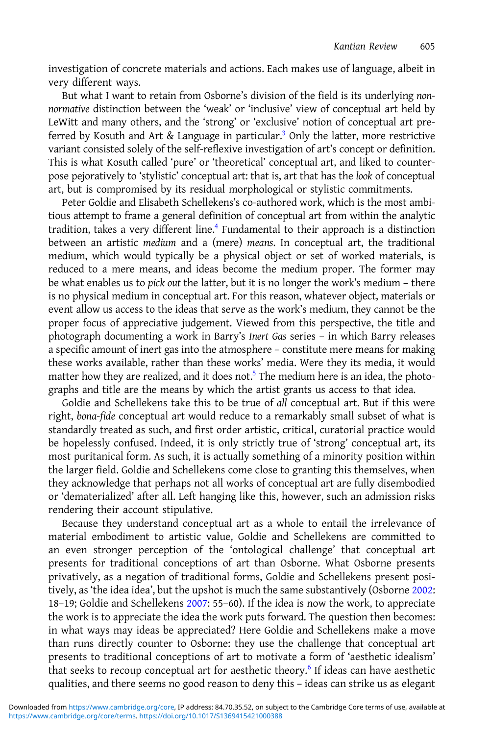investigation of concrete materials and actions. Each makes use of language, albeit in very different ways.

But what I want to retain from Osborne's division of the field is its underlying nonnormative distinction between the 'weak' or 'inclusive' view of conceptual art held by LeWitt and many others, and the 'strong' or 'exclusive' notion of conceptual art preferred by Kosuth and Art & Language in particular.<sup>3</sup> Only the latter, more restrictive variant consisted solely of the self-reflexive investigation of art's concept or definition. This is what Kosuth called 'pure' or 'theoretical' conceptual art, and liked to counterpose pejoratively to 'stylistic' conceptual art: that is, art that has the look of conceptual art, but is compromised by its residual morphological or stylistic commitments.

Peter Goldie and Elisabeth Schellekens's co-authored work, which is the most ambitious attempt to frame a general definition of conceptual art from within the analytic tradition, takes a very different line.[4](#page-13-0) Fundamental to their approach is a distinction between an artistic medium and a (mere) means. In conceptual art, the traditional medium, which would typically be a physical object or set of worked materials, is reduced to a mere means, and ideas become the medium proper. The former may be what enables us to pick out the latter, but it is no longer the work's medium – there is no physical medium in conceptual art. For this reason, whatever object, materials or event allow us access to the ideas that serve as the work's medium, they cannot be the proper focus of appreciative judgement. Viewed from this perspective, the title and photograph documenting a work in Barry's Inert Gas series – in which Barry releases a specific amount of inert gas into the atmosphere – constitute mere means for making these works available, rather than these works' media. Were they its media, it would matter how they are realized, and it does not.<sup>5</sup> The medium here is an idea, the photographs and title are the means by which the artist grants us access to that idea.

Goldie and Schellekens take this to be true of all conceptual art. But if this were right, bona-fide conceptual art would reduce to a remarkably small subset of what is standardly treated as such, and first order artistic, critical, curatorial practice would be hopelessly confused. Indeed, it is only strictly true of 'strong' conceptual art, its most puritanical form. As such, it is actually something of a minority position within the larger field. Goldie and Schellekens come close to granting this themselves, when they acknowledge that perhaps not all works of conceptual art are fully disembodied or 'dematerialized' after all. Left hanging like this, however, such an admission risks rendering their account stipulative.

Because they understand conceptual art as a whole to entail the irrelevance of material embodiment to artistic value, Goldie and Schellekens are committed to an even stronger perception of the 'ontological challenge' that conceptual art presents for traditional conceptions of art than Osborne. What Osborne presents privatively, as a negation of traditional forms, Goldie and Schellekens present positively, as 'the idea idea', but the upshot is much the same substantively (Osborne [2002:](#page-15-0) 18–19; Goldie and Schellekens [2007](#page-14-0): 55–60). If the idea is now the work, to appreciate the work is to appreciate the idea the work puts forward. The question then becomes: in what ways may ideas be appreciated? Here Goldie and Schellekens make a move than runs directly counter to Osborne: they use the challenge that conceptual art presents to traditional conceptions of art to motivate a form of 'aesthetic idealism' that seeks to recoup conceptual art for aesthetic theory.<sup>[6](#page-13-0)</sup> If ideas can have aesthetic qualities, and there seems no good reason to deny this – ideas can strike us as elegant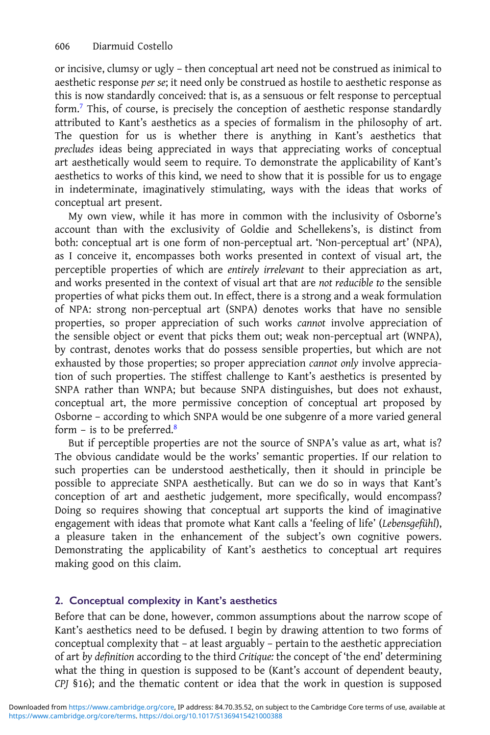or incisive, clumsy or ugly – then conceptual art need not be construed as inimical to aesthetic response per se; it need only be construed as hostile to aesthetic response as this is now standardly conceived: that is, as a sensuous or felt response to perceptual form.[7](#page-13-0) This, of course, is precisely the conception of aesthetic response standardly attributed to Kant's aesthetics as a species of formalism in the philosophy of art. The question for us is whether there is anything in Kant's aesthetics that precludes ideas being appreciated in ways that appreciating works of conceptual art aesthetically would seem to require. To demonstrate the applicability of Kant's aesthetics to works of this kind, we need to show that it is possible for us to engage in indeterminate, imaginatively stimulating, ways with the ideas that works of conceptual art present.

My own view, while it has more in common with the inclusivity of Osborne's account than with the exclusivity of Goldie and Schellekens's, is distinct from both: conceptual art is one form of non-perceptual art. 'Non-perceptual art' (NPA), as I conceive it, encompasses both works presented in context of visual art, the perceptible properties of which are entirely irrelevant to their appreciation as art, and works presented in the context of visual art that are not reducible to the sensible properties of what picks them out. In effect, there is a strong and a weak formulation of NPA: strong non-perceptual art (SNPA) denotes works that have no sensible properties, so proper appreciation of such works cannot involve appreciation of the sensible object or event that picks them out; weak non-perceptual art (WNPA), by contrast, denotes works that do possess sensible properties, but which are not exhausted by those properties; so proper appreciation cannot only involve appreciation of such properties. The stiffest challenge to Kant's aesthetics is presented by SNPA rather than WNPA; but because SNPA distinguishes, but does not exhaust, conceptual art, the more permissive conception of conceptual art proposed by Osborne – according to which SNPA would be one subgenre of a more varied general form – is to be preferred. $8$ 

But if perceptible properties are not the source of SNPA's value as art, what is? The obvious candidate would be the works' semantic properties. If our relation to such properties can be understood aesthetically, then it should in principle be possible to appreciate SNPA aesthetically. But can we do so in ways that Kant's conception of art and aesthetic judgement, more specifically, would encompass? Doing so requires showing that conceptual art supports the kind of imaginative engagement with ideas that promote what Kant calls a 'feeling of life' (Lebensgefühl), a pleasure taken in the enhancement of the subject's own cognitive powers. Demonstrating the applicability of Kant's aesthetics to conceptual art requires making good on this claim.

# 2. Conceptual complexity in Kant's aesthetics

Before that can be done, however, common assumptions about the narrow scope of Kant's aesthetics need to be defused. I begin by drawing attention to two forms of conceptual complexity that – at least arguably – pertain to the aesthetic appreciation of art by definition according to the third Critique: the concept of 'the end' determining what the thing in question is supposed to be (Kant's account of dependent beauty, CPJ §16); and the thematic content or idea that the work in question is supposed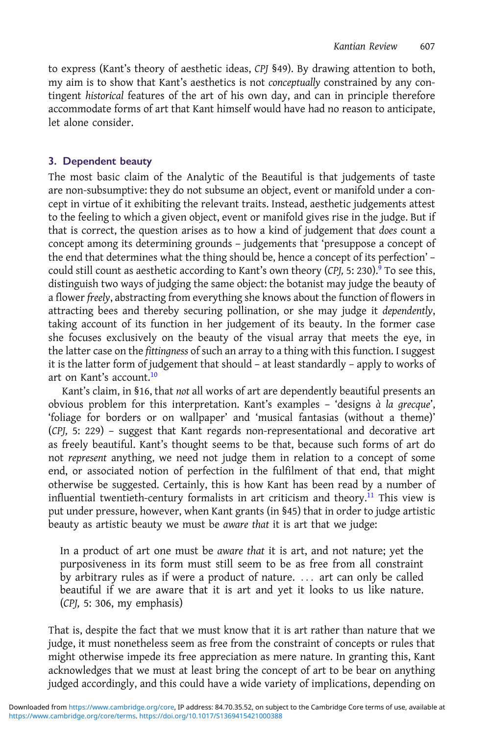to express (Kant's theory of aesthetic ideas, CPJ §49). By drawing attention to both, my aim is to show that Kant's aesthetics is not conceptually constrained by any contingent historical features of the art of his own day, and can in principle therefore accommodate forms of art that Kant himself would have had no reason to anticipate, let alone consider.

# 3. Dependent beauty

The most basic claim of the Analytic of the Beautiful is that judgements of taste are non-subsumptive: they do not subsume an object, event or manifold under a concept in virtue of it exhibiting the relevant traits. Instead, aesthetic judgements attest to the feeling to which a given object, event or manifold gives rise in the judge. But if that is correct, the question arises as to how a kind of judgement that does count a concept among its determining grounds – judgements that 'presuppose a concept of the end that determines what the thing should be, hence a concept of its perfection' – could still count as aesthetic according to Kant's own theory (CPJ, 5: 230).<sup>[9](#page-13-0)</sup> To see this, distinguish two ways of judging the same object: the botanist may judge the beauty of a flower freely, abstracting from everything she knows about the function of flowers in attracting bees and thereby securing pollination, or she may judge it dependently, taking account of its function in her judgement of its beauty. In the former case she focuses exclusively on the beauty of the visual array that meets the eye, in the latter case on the fittingness of such an array to a thing with this function. I suggest it is the latter form of judgement that should – at least standardly – apply to works of art on Kant's account.[10](#page-14-0)

Kant's claim, in §16, that not all works of art are dependently beautiful presents an obvious problem for this interpretation. Kant's examples – 'designs à la grecque', 'foliage for borders or on wallpaper' and 'musical fantasias (without a theme)' (CPJ, 5: 229) – suggest that Kant regards non-representational and decorative art as freely beautiful. Kant's thought seems to be that, because such forms of art do not represent anything, we need not judge them in relation to a concept of some end, or associated notion of perfection in the fulfilment of that end, that might otherwise be suggested. Certainly, this is how Kant has been read by a number of influential twentieth-century formalists in art criticism and theory.<sup>[11](#page-14-0)</sup> This view is put under pressure, however, when Kant grants (in §45) that in order to judge artistic beauty as artistic beauty we must be aware that it is art that we judge:

In a product of art one must be aware that it is art, and not nature; yet the purposiveness in its form must still seem to be as free from all constraint by arbitrary rules as if were a product of nature. ... art can only be called beautiful if we are aware that it is art and yet it looks to us like nature. (CPJ, 5: 306, my emphasis)

That is, despite the fact that we must know that it is art rather than nature that we judge, it must nonetheless seem as free from the constraint of concepts or rules that might otherwise impede its free appreciation as mere nature. In granting this, Kant acknowledges that we must at least bring the concept of art to be bear on anything judged accordingly, and this could have a wide variety of implications, depending on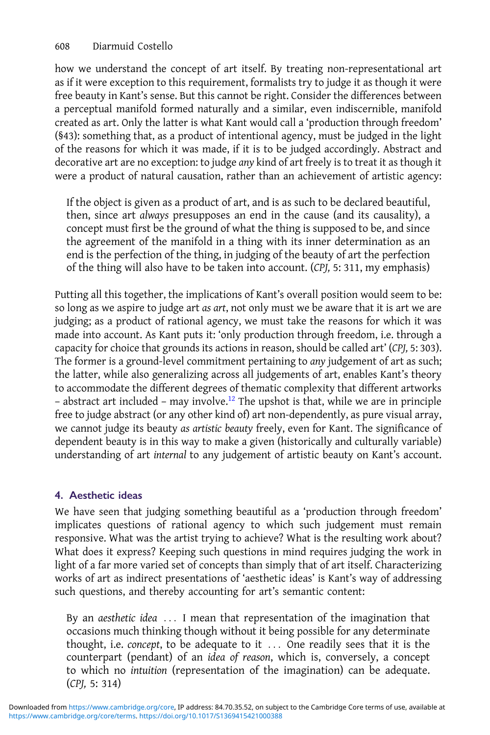how we understand the concept of art itself. By treating non-representational art as if it were exception to this requirement, formalists try to judge it as though it were free beauty in Kant's sense. But this cannot be right. Consider the differences between a perceptual manifold formed naturally and a similar, even indiscernible, manifold created as art. Only the latter is what Kant would call a 'production through freedom' (§43): something that, as a product of intentional agency, must be judged in the light of the reasons for which it was made, if it is to be judged accordingly. Abstract and decorative art are no exception: to judge any kind of art freely is to treat it as though it were a product of natural causation, rather than an achievement of artistic agency:

If the object is given as a product of art, and is as such to be declared beautiful, then, since art always presupposes an end in the cause (and its causality), a concept must first be the ground of what the thing is supposed to be, and since the agreement of the manifold in a thing with its inner determination as an end is the perfection of the thing, in judging of the beauty of art the perfection of the thing will also have to be taken into account. (CPJ, 5: 311, my emphasis)

Putting all this together, the implications of Kant's overall position would seem to be: so long as we aspire to judge art as art, not only must we be aware that it is art we are judging; as a product of rational agency, we must take the reasons for which it was made into account. As Kant puts it: 'only production through freedom, i.e. through a capacity for choice that grounds its actions in reason, should be called art' (CPJ, 5: 303). The former is a ground-level commitment pertaining to any judgement of art as such; the latter, while also generalizing across all judgements of art, enables Kant's theory to accommodate the different degrees of thematic complexity that different artworks  $-$  abstract art included  $-$  may involve.<sup>[12](#page-14-0)</sup> The upshot is that, while we are in principle free to judge abstract (or any other kind of) art non-dependently, as pure visual array, we cannot judge its beauty as artistic beauty freely, even for Kant. The significance of dependent beauty is in this way to make a given (historically and culturally variable) understanding of art internal to any judgement of artistic beauty on Kant's account.

# 4. Aesthetic ideas

We have seen that judging something beautiful as a 'production through freedom' implicates questions of rational agency to which such judgement must remain responsive. What was the artist trying to achieve? What is the resulting work about? What does it express? Keeping such questions in mind requires judging the work in light of a far more varied set of concepts than simply that of art itself. Characterizing works of art as indirect presentations of 'aesthetic ideas' is Kant's way of addressing such questions, and thereby accounting for art's semantic content:

By an aesthetic idea ... I mean that representation of the imagination that occasions much thinking though without it being possible for any determinate thought, i.e. concept, to be adequate to it  $\ldots$  One readily sees that it is the counterpart (pendant) of an idea of reason, which is, conversely, a concept to which no intuition (representation of the imagination) can be adequate. (CPJ, 5: 314)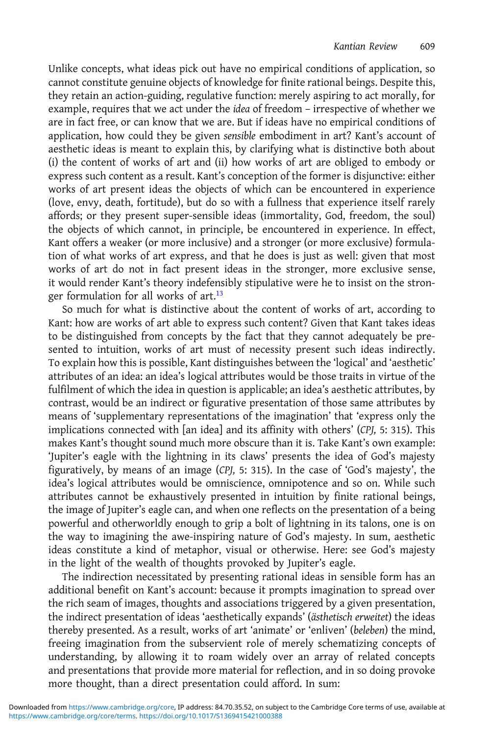Unlike concepts, what ideas pick out have no empirical conditions of application, so cannot constitute genuine objects of knowledge for finite rational beings. Despite this, they retain an action-guiding, regulative function: merely aspiring to act morally, for example, requires that we act under the idea of freedom – irrespective of whether we are in fact free, or can know that we are. But if ideas have no empirical conditions of application, how could they be given sensible embodiment in art? Kant's account of aesthetic ideas is meant to explain this, by clarifying what is distinctive both about (i) the content of works of art and (ii) how works of art are obliged to embody or express such content as a result. Kant's conception of the former is disjunctive: either works of art present ideas the objects of which can be encountered in experience (love, envy, death, fortitude), but do so with a fullness that experience itself rarely affords; or they present super-sensible ideas (immortality, God, freedom, the soul) the objects of which cannot, in principle, be encountered in experience. In effect, Kant offers a weaker (or more inclusive) and a stronger (or more exclusive) formulation of what works of art express, and that he does is just as well: given that most works of art do not in fact present ideas in the stronger, more exclusive sense, it would render Kant's theory indefensibly stipulative were he to insist on the stron-ger formulation for all works of art.<sup>[13](#page-14-0)</sup>

So much for what is distinctive about the content of works of art, according to Kant: how are works of art able to express such content? Given that Kant takes ideas to be distinguished from concepts by the fact that they cannot adequately be presented to intuition, works of art must of necessity present such ideas indirectly. To explain how this is possible, Kant distinguishes between the 'logical' and 'aesthetic' attributes of an idea: an idea's logical attributes would be those traits in virtue of the fulfilment of which the idea in question is applicable; an idea's aesthetic attributes, by contrast, would be an indirect or figurative presentation of those same attributes by means of 'supplementary representations of the imagination' that 'express only the implications connected with [an idea] and its affinity with others' (CPJ, 5: 315). This makes Kant's thought sound much more obscure than it is. Take Kant's own example: 'Jupiter's eagle with the lightning in its claws' presents the idea of God's majesty figuratively, by means of an image (CPJ, 5: 315). In the case of 'God's majesty', the idea's logical attributes would be omniscience, omnipotence and so on. While such attributes cannot be exhaustively presented in intuition by finite rational beings, the image of Jupiter's eagle can, and when one reflects on the presentation of a being powerful and otherworldly enough to grip a bolt of lightning in its talons, one is on the way to imagining the awe-inspiring nature of God's majesty. In sum, aesthetic ideas constitute a kind of metaphor, visual or otherwise. Here: see God's majesty in the light of the wealth of thoughts provoked by Jupiter's eagle.

The indirection necessitated by presenting rational ideas in sensible form has an additional benefit on Kant's account: because it prompts imagination to spread over the rich seam of images, thoughts and associations triggered by a given presentation, the indirect presentation of ideas 'aesthetically expands' (ästhetisch erweitet) the ideas thereby presented. As a result, works of art 'animate' or 'enliven' (beleben) the mind, freeing imagination from the subservient role of merely schematizing concepts of understanding, by allowing it to roam widely over an array of related concepts and presentations that provide more material for reflection, and in so doing provoke more thought, than a direct presentation could afford. In sum: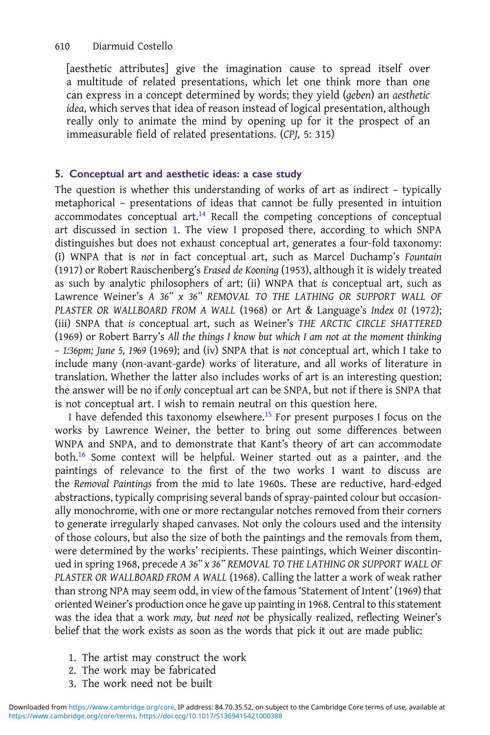[aesthetic attributes] give the imagination cause to spread itself over a multitude of related presentations, which let one think more than one can express in a concept determined by words; they yield (geben) an aesthetic idea, which serves that idea of reason instead of logical presentation, although really only to animate the mind by opening up for it the prospect of an immeasurable field of related presentations. (CPJ, 5: 315)

## 5. Conceptual art and aesthetic ideas: a case study

The question is whether this understanding of works of art as indirect – typically metaphorical – presentations of ideas that cannot be fully presented in intuition  $acommodates$  conceptual art.<sup>[14](#page-14-0)</sup> Recall the competing conceptions of conceptual art discussed in section [1](#page-0-0). The view I proposed there, according to which SNPA distinguishes but does not exhaust conceptual art, generates a four-fold taxonomy: (i) WNPA that is not in fact conceptual art, such as Marcel Duchamp's Fountain (1917) or Robert Rauschenberg's Erased de Kooning (1953), although it is widely treated as such by analytic philosophers of art; (ii) WNPA that is conceptual art, such as Lawrence Weiner's A  $36''$  x  $36''$  REMOVAL TO THE LATHING OR SUPPORT WALL OF PLASTER OR WALLBOARD FROM A WALL (1968) or Art & Language's Index 01 (1972); (iii) SNPA that is conceptual art, such as Weiner's THE ARCTIC CIRCLE SHATTERED (1969) or Robert Barry's All the things I know but which I am not at the moment thinking – 1:36pm; June 5, 1969 (1969); and (iv) SNPA that is not conceptual art, which I take to include many (non-avant-garde) works of literature, and all works of literature in translation. Whether the latter also includes works of art is an interesting question; the answer will be no if only conceptual art can be SNPA, but not if there is SNPA that is not conceptual art. I wish to remain neutral on this question here.

I have defended this taxonomy elsewhere.<sup>[15](#page-14-0)</sup> For present purposes I focus on the works by Lawrence Weiner, the better to bring out some differences between WNPA and SNPA, and to demonstrate that Kant's theory of art can accommodate both.[16](#page-14-0) Some context will be helpful. Weiner started out as a painter, and the paintings of relevance to the first of the two works I want to discuss are the Removal Paintings from the mid to late 1960s. These are reductive, hard-edged abstractions, typically comprising several bands of spray-painted colour but occasionally monochrome, with one or more rectangular notches removed from their corners to generate irregularly shaped canvases. Not only the colours used and the intensity of those colours, but also the size of both the paintings and the removals from them, were determined by the works' recipients. These paintings, which Weiner discontinued in spring 1968, precede A 36" x 36" REMOVAL TO THE LATHING OR SUPPORT WALL OF PLASTER OR WALLBOARD FROM A WALL (1968). Calling the latter a work of weak rather than strong NPA may seem odd, in view of the famous 'Statement of Intent' (1969) that oriented Weiner's production once he gave up painting in 1968. Central to this statement was the idea that a work may, but need not be physically realized, reflecting Weiner's belief that the work exists as soon as the words that pick it out are made public:

- 1. The artist may construct the work
- 2. The work may be fabricated
- 3. The work need not be built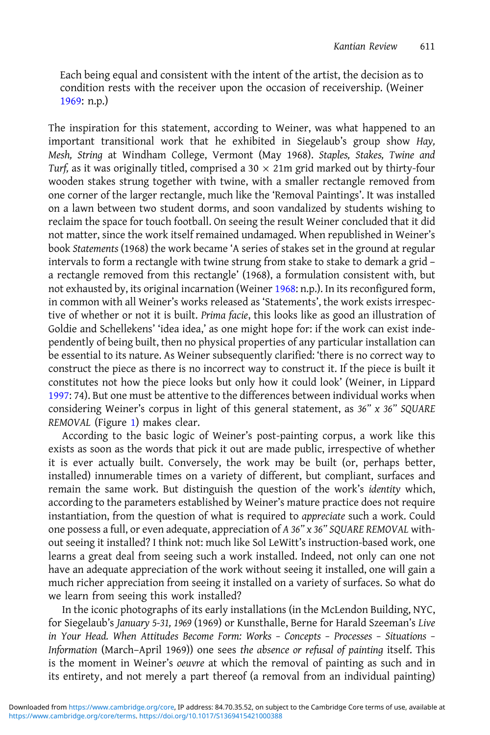Each being equal and consistent with the intent of the artist, the decision as to condition rests with the receiver upon the occasion of receivership. (Weiner [1969:](#page-15-0) n.p.)

The inspiration for this statement, according to Weiner, was what happened to an important transitional work that he exhibited in Siegelaub's group show Hay, Mesh, String at Windham College, Vermont (May 1968). Staples, Stakes, Twine and Turf, as it was originally titled, comprised a 30  $\times$  21m grid marked out by thirty-four wooden stakes strung together with twine, with a smaller rectangle removed from one corner of the larger rectangle, much like the 'Removal Paintings'. It was installed on a lawn between two student dorms, and soon vandalized by students wishing to reclaim the space for touch football. On seeing the result Weiner concluded that it did not matter, since the work itself remained undamaged. When republished in Weiner's book Statements (1968) the work became 'A series of stakes set in the ground at regular intervals to form a rectangle with twine strung from stake to stake to demark a grid – a rectangle removed from this rectangle' (1968), a formulation consistent with, but not exhausted by, its original incarnation (Weiner [1968:](#page-15-0) n.p.). In its reconfigured form, in common with all Weiner's works released as 'Statements', the work exists irrespective of whether or not it is built. Prima facie, this looks like as good an illustration of Goldie and Schellekens' 'idea idea,' as one might hope for: if the work can exist independently of being built, then no physical properties of any particular installation can be essential to its nature. As Weiner subsequently clarified: 'there is no correct way to construct the piece as there is no incorrect way to construct it. If the piece is built it constitutes not how the piece looks but only how it could look' (Weiner, in Lippard [1997:](#page-15-0) 74). But one must be attentive to the differences between individual works when considering Weiner's corpus in light of this general statement, as 36" x 36" SQUARE REMOVAL (Figure [1](#page-9-0)) makes clear.

According to the basic logic of Weiner's post-painting corpus, a work like this exists as soon as the words that pick it out are made public, irrespective of whether it is ever actually built. Conversely, the work may be built (or, perhaps better, installed) innumerable times on a variety of different, but compliant, surfaces and remain the same work. But distinguish the question of the work's identity which, according to the parameters established by Weiner's mature practice does not require instantiation, from the question of what is required to appreciate such a work. Could one possess a full, or even adequate, appreciation of A 36" x 36" SQUARE REMOVAL without seeing it installed? I think not: much like Sol LeWitt's instruction-based work, one learns a great deal from seeing such a work installed. Indeed, not only can one not have an adequate appreciation of the work without seeing it installed, one will gain a much richer appreciation from seeing it installed on a variety of surfaces. So what do we learn from seeing this work installed?

In the iconic photographs of its early installations (in the McLendon Building, NYC, for Siegelaub's January 5-31, 1969 (1969) or Kunsthalle, Berne for Harald Szeeman's Live in Your Head. When Attitudes Become Form: Works – Concepts – Processes – Situations – Information (March–April 1969)) one sees the absence or refusal of painting itself. This is the moment in Weiner's oeuvre at which the removal of painting as such and in its entirety, and not merely a part thereof (a removal from an individual painting)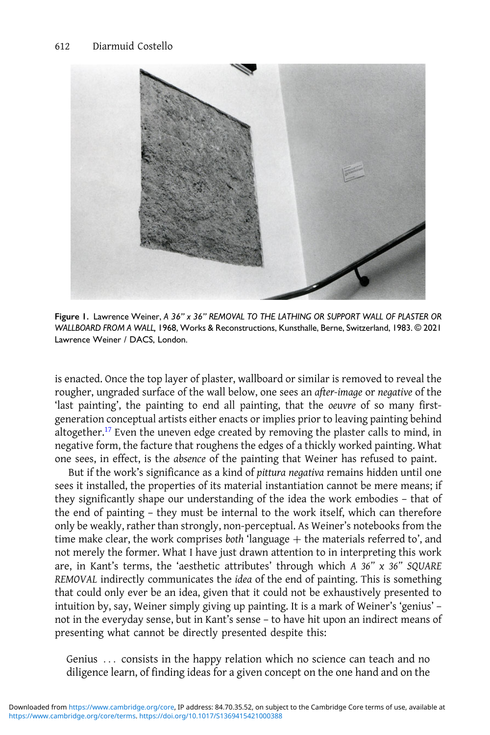<span id="page-9-0"></span>

Figure 1. Lawrence Weiner, A 36" x 36" REMOVAL TO THE LATHING OR SUPPORT WALL OF PLASTER OR WALLBOARD FROM A WALL, 1968, Works & Reconstructions, Kunsthalle, Berne, Switzerland, 1983. © 2021 Lawrence Weiner / DACS, London.

is enacted. Once the top layer of plaster, wallboard or similar is removed to reveal the rougher, ungraded surface of the wall below, one sees an after-image or negative of the 'last painting', the painting to end all painting, that the oeuvre of so many firstgeneration conceptual artists either enacts or implies prior to leaving painting behind altogether.[17](#page-14-0) Even the uneven edge created by removing the plaster calls to mind, in negative form, the facture that roughens the edges of a thickly worked painting. What one sees, in effect, is the absence of the painting that Weiner has refused to paint.

But if the work's significance as a kind of pittura negativa remains hidden until one sees it installed, the properties of its material instantiation cannot be mere means; if they significantly shape our understanding of the idea the work embodies – that of the end of painting – they must be internal to the work itself, which can therefore only be weakly, rather than strongly, non-perceptual. As Weiner's notebooks from the time make clear, the work comprises both 'language  $+$  the materials referred to', and not merely the former. What I have just drawn attention to in interpreting this work are, in Kant's terms, the 'aesthetic attributes' through which A  $36"$  x  $36"$  SQUARE REMOVAL indirectly communicates the idea of the end of painting. This is something that could only ever be an idea, given that it could not be exhaustively presented to intuition by, say, Weiner simply giving up painting. It is a mark of Weiner's 'genius' – not in the everyday sense, but in Kant's sense – to have hit upon an indirect means of presenting what cannot be directly presented despite this:

Genius ... consists in the happy relation which no science can teach and no diligence learn, of finding ideas for a given concept on the one hand and on the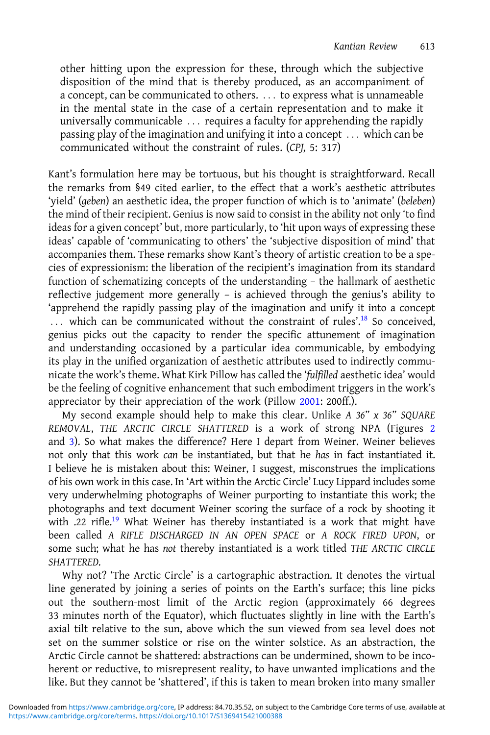other hitting upon the expression for these, through which the subjective disposition of the mind that is thereby produced, as an accompaniment of a concept, can be communicated to others. . . . to express what is unnameable in the mental state in the case of a certain representation and to make it universally communicable  $\ldots$  requires a faculty for apprehending the rapidly passing play of the imagination and unifying it into a concept ... which can be communicated without the constraint of rules. (CPJ, 5: 317)

Kant's formulation here may be tortuous, but his thought is straightforward. Recall the remarks from §49 cited earlier, to the effect that a work's aesthetic attributes 'yield' (geben) an aesthetic idea, the proper function of which is to 'animate' (beleben) the mind of their recipient. Genius is now said to consist in the ability not only 'to find ideas for a given concept' but, more particularly, to 'hit upon ways of expressing these ideas' capable of 'communicating to others' the 'subjective disposition of mind' that accompanies them. These remarks show Kant's theory of artistic creation to be a species of expressionism: the liberation of the recipient's imagination from its standard function of schematizing concepts of the understanding – the hallmark of aesthetic reflective judgement more generally – is achieved through the genius's ability to 'apprehend the rapidly passing play of the imagination and unify it into a concept ... which can be communicated without the constraint of rules'.<sup>[18](#page-14-0)</sup> So conceived, genius picks out the capacity to render the specific attunement of imagination and understanding occasioned by a particular idea communicable, by embodying its play in the unified organization of aesthetic attributes used to indirectly communicate the work's theme. What Kirk Pillow has called the 'fulfilled aesthetic idea' would be the feeling of cognitive enhancement that such embodiment triggers in the work's appreciator by their appreciation of the work (Pillow [2001:](#page-15-0) 200ff.).

My second example should help to make this clear. Unlike A  $36"$  x  $36"$  SQUARE REMOVAL, THE ARCTIC CIRCLE SHATTERED is a work of strong NPA (Figures [2](#page-11-0) and [3](#page-11-0)). So what makes the difference? Here I depart from Weiner. Weiner believes not only that this work can be instantiated, but that he has in fact instantiated it. I believe he is mistaken about this: Weiner, I suggest, misconstrues the implications of his own work in this case. In 'Art within the Arctic Circle' Lucy Lippard includes some very underwhelming photographs of Weiner purporting to instantiate this work; the photographs and text document Weiner scoring the surface of a rock by shooting it with .22 rifle.<sup>19</sup> What Weiner has thereby instantiated is a work that might have been called A RIFLE DISCHARGED IN AN OPEN SPACE or A ROCK FIRED UPON, or some such; what he has not thereby instantiated is a work titled THE ARCTIC CIRCLE SHATTERED.

Why not? 'The Arctic Circle' is a cartographic abstraction. It denotes the virtual line generated by joining a series of points on the Earth's surface; this line picks out the southern-most limit of the Arctic region (approximately 66 degrees 33 minutes north of the Equator), which fluctuates slightly in line with the Earth's axial tilt relative to the sun, above which the sun viewed from sea level does not set on the summer solstice or rise on the winter solstice. As an abstraction, the Arctic Circle cannot be shattered: abstractions can be undermined, shown to be incoherent or reductive, to misrepresent reality, to have unwanted implications and the like. But they cannot be 'shattered', if this is taken to mean broken into many smaller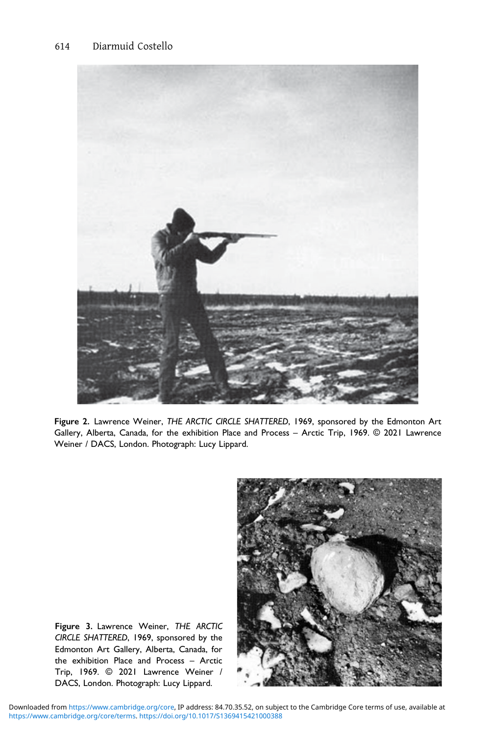<span id="page-11-0"></span>

Figure 2. Lawrence Weiner, THE ARCTIC CIRCLE SHATTERED, 1969, sponsored by the Edmonton Art Gallery, Alberta, Canada, for the exhibition Place and Process – Arctic Trip, 1969. © 2021 Lawrence Weiner / DACS, London. Photograph: Lucy Lippard.



Figure 3. Lawrence Weiner, THE ARCTIC CIRCLE SHATTERED, 1969, sponsored by the Edmonton Art Gallery, Alberta, Canada, for the exhibition Place and Process – Arctic Trip, 1969. © 2021 Lawrence Weiner / DACS, London. Photograph: Lucy Lippard.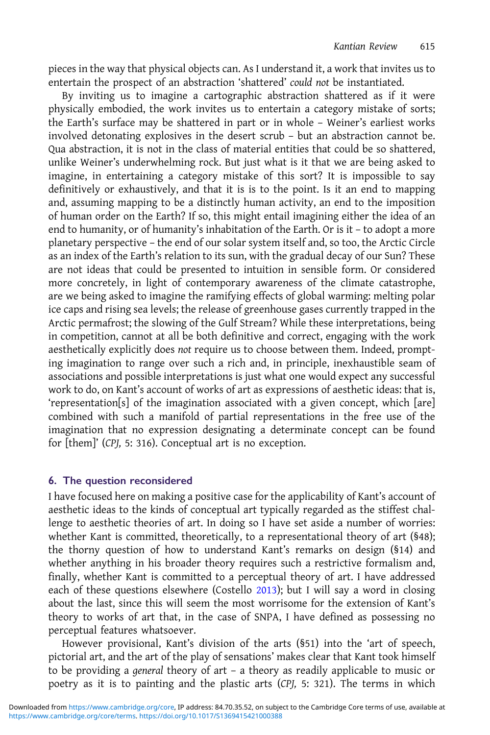pieces in the way that physical objects can. As I understand it, a work that invites us to entertain the prospect of an abstraction 'shattered' could not be instantiated.

By inviting us to imagine a cartographic abstraction shattered as if it were physically embodied, the work invites us to entertain a category mistake of sorts; the Earth's surface may be shattered in part or in whole – Weiner's earliest works involved detonating explosives in the desert scrub – but an abstraction cannot be. Qua abstraction, it is not in the class of material entities that could be so shattered, unlike Weiner's underwhelming rock. But just what is it that we are being asked to imagine, in entertaining a category mistake of this sort? It is impossible to say definitively or exhaustively, and that it is is to the point. Is it an end to mapping and, assuming mapping to be a distinctly human activity, an end to the imposition of human order on the Earth? If so, this might entail imagining either the idea of an end to humanity, or of humanity's inhabitation of the Earth. Or is it – to adopt a more planetary perspective – the end of our solar system itself and, so too, the Arctic Circle as an index of the Earth's relation to its sun, with the gradual decay of our Sun? These are not ideas that could be presented to intuition in sensible form. Or considered more concretely, in light of contemporary awareness of the climate catastrophe, are we being asked to imagine the ramifying effects of global warming: melting polar ice caps and rising sea levels; the release of greenhouse gases currently trapped in the Arctic permafrost; the slowing of the Gulf Stream? While these interpretations, being in competition, cannot at all be both definitive and correct, engaging with the work aesthetically explicitly does not require us to choose between them. Indeed, prompting imagination to range over such a rich and, in principle, inexhaustible seam of associations and possible interpretations is just what one would expect any successful work to do, on Kant's account of works of art as expressions of aesthetic ideas: that is, 'representation[s] of the imagination associated with a given concept, which [are] combined with such a manifold of partial representations in the free use of the imagination that no expression designating a determinate concept can be found for [them]' (CPJ, 5: 316). Conceptual art is no exception.

#### 6. The question reconsidered

I have focused here on making a positive case for the applicability of Kant's account of aesthetic ideas to the kinds of conceptual art typically regarded as the stiffest challenge to aesthetic theories of art. In doing so I have set aside a number of worries: whether Kant is committed, theoretically, to a representational theory of art (§48); the thorny question of how to understand Kant's remarks on design (§14) and whether anything in his broader theory requires such a restrictive formalism and, finally, whether Kant is committed to a perceptual theory of art. I have addressed each of these questions elsewhere (Costello [2013\)](#page-14-0); but I will say a word in closing about the last, since this will seem the most worrisome for the extension of Kant's theory to works of art that, in the case of SNPA, I have defined as possessing no perceptual features whatsoever.

However provisional, Kant's division of the arts (§51) into the 'art of speech, pictorial art, and the art of the play of sensations' makes clear that Kant took himself to be providing a general theory of art – a theory as readily applicable to music or poetry as it is to painting and the plastic arts (CPJ, 5: 321). The terms in which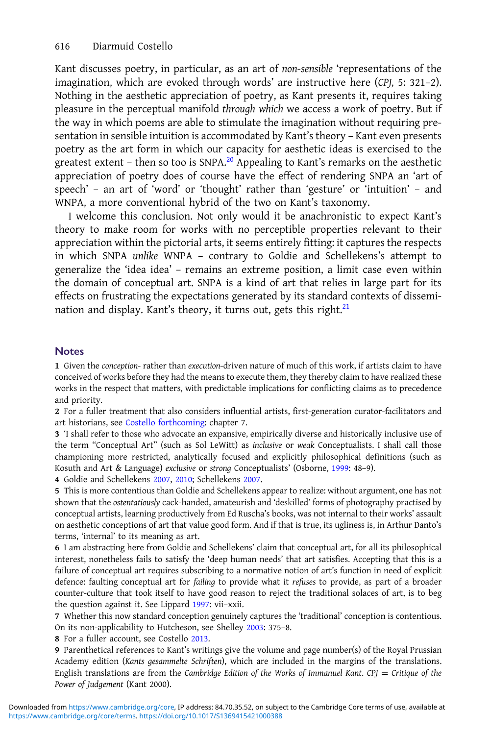<span id="page-13-0"></span>Kant discusses poetry, in particular, as an art of non-sensible 'representations of the imagination, which are evoked through words' are instructive here (CPJ, 5: 321–2). Nothing in the aesthetic appreciation of poetry, as Kant presents it, requires taking pleasure in the perceptual manifold through which we access a work of poetry. But if the way in which poems are able to stimulate the imagination without requiring presentation in sensible intuition is accommodated by Kant's theory – Kant even presents poetry as the art form in which our capacity for aesthetic ideas is exercised to the greatest extent – then so too is SNPA.[20](#page-14-0) Appealing to Kant's remarks on the aesthetic appreciation of poetry does of course have the effect of rendering SNPA an 'art of speech' – an art of 'word' or 'thought' rather than 'gesture' or 'intuition' – and WNPA, a more conventional hybrid of the two on Kant's taxonomy.

I welcome this conclusion. Not only would it be anachronistic to expect Kant's theory to make room for works with no perceptible properties relevant to their appreciation within the pictorial arts, it seems entirely fitting: it captures the respects in which SNPA unlike WNPA – contrary to Goldie and Schellekens's attempt to generalize the 'idea idea' – remains an extreme position, a limit case even within the domain of conceptual art. SNPA is a kind of art that relies in large part for its effects on frustrating the expectations generated by its standard contexts of dissemination and display. Kant's theory, it turns out, gets this right. $21$ 

#### Notes

1 Given the conception- rather than execution-driven nature of much of this work, if artists claim to have conceived of works before they had the means to execute them, they thereby claim to have realized these works in the respect that matters, with predictable implications for conflicting claims as to precedence and priority.

2 For a fuller treatment that also considers influential artists, first-generation curator-facilitators and art historians, see [Costello forthcoming:](#page-14-0) chapter 7.

3 'I shall refer to those who advocate an expansive, empirically diverse and historically inclusive use of the term "Conceptual Art" (such as Sol LeWitt) as inclusive or weak Conceptualists. I shall call those championing more restricted, analytically focused and explicitly philosophical definitions (such as Kosuth and Art & Language) exclusive or strong Conceptualists' (Osborne, [1999:](#page-15-0) 48–9).

4 Goldie and Schellekens [2007,](#page-14-0) [2010](#page-14-0); Schellekens [2007.](#page-15-0)

5 This is more contentious than Goldie and Schellekens appear to realize: without argument, one has not shown that the ostentatiously cack-handed, amateurish and 'deskilled' forms of photography practised by conceptual artists, learning productively from Ed Ruscha's books, was not internal to their works' assault on aesthetic conceptions of art that value good form. And if that is true, its ugliness is, in Arthur Danto's terms, 'internal' to its meaning as art.

6 I am abstracting here from Goldie and Schellekens' claim that conceptual art, for all its philosophical interest, nonetheless fails to satisfy the 'deep human needs' that art satisfies. Accepting that this is a failure of conceptual art requires subscribing to a normative notion of art's function in need of explicit defence: faulting conceptual art for failing to provide what it refuses to provide, as part of a broader counter-culture that took itself to have good reason to reject the traditional solaces of art, is to beg the question against it. See Lippard [1997](#page-15-0): vii–xxii.

7 Whether this now standard conception genuinely captures the 'traditional' conception is contentious. On its non-applicability to Hutcheson, see Shelley [2003:](#page-15-0) 375–8.

8 For a fuller account, see Costello [2013](#page-14-0).

9 Parenthetical references to Kant's writings give the volume and page number(s) of the Royal Prussian Academy edition (Kants gesammelte Schriften), which are included in the margins of the translations. English translations are from the Cambridge Edition of the Works of Immanuel Kant. CPJ = Critique of the Power of Judgement (Kant 2000).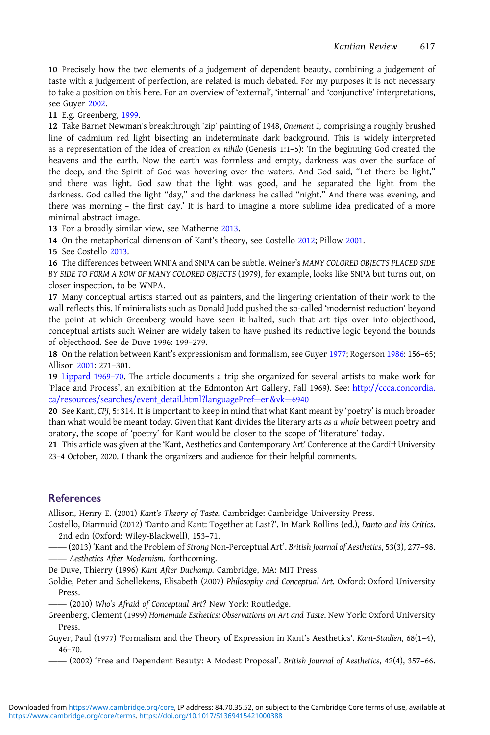<span id="page-14-0"></span>10 Precisely how the two elements of a judgement of dependent beauty, combining a judgement of taste with a judgement of perfection, are related is much debated. For my purposes it is not necessary to take a position on this here. For an overview of 'external', 'internal' and 'conjunctive' interpretations, see Guyer 2002.

11 E.g. Greenberg, 1999.

12 Take Barnet Newman's breakthrough 'zip' painting of 1948, Onement 1, comprising a roughly brushed line of cadmium red light bisecting an indeterminate dark background. This is widely interpreted as a representation of the idea of creation ex nihilo (Genesis 1:1–5): 'In the beginning God created the heavens and the earth. Now the earth was formless and empty, darkness was over the surface of the deep, and the Spirit of God was hovering over the waters. And God said, "Let there be light," and there was light. God saw that the light was good, and he separated the light from the darkness. God called the light "day," and the darkness he called "night." And there was evening, and there was morning – the first day.' It is hard to imagine a more sublime idea predicated of a more minimal abstract image.

13 For a broadly similar view, see Matherne [2013](#page-15-0).

14 On the metaphorical dimension of Kant's theory, see Costello 2012; Pillow [2001](#page-15-0).

15 See Costello 2013.

16 The differences between WNPA and SNPA can be subtle. Weiner's MANY COLORED OBJECTS PLACED SIDE BY SIDE TO FORM A ROW OF MANY COLORED OBJECTS (1979), for example, looks like SNPA but turns out, on closer inspection, to be WNPA.

17 Many conceptual artists started out as painters, and the lingering orientation of their work to the wall reflects this. If minimalists such as Donald Judd pushed the so-called 'modernist reduction' beyond the point at which Greenberg would have seen it halted, such that art tips over into objecthood, conceptual artists such Weiner are widely taken to have pushed its reductive logic beyond the bounds of objecthood. See de Duve 1996: 199–279.

18 On the relation between Kant's expressionism and formalism, see Guyer 1977; Rogerson [1986](#page-15-0): 156–65; Allison 2001: 271–301.

19 [Lippard 1969](#page-15-0)–70. The article documents a trip she organized for several artists to make work for 'Place and Process', an exhibition at the Edmonton Art Gallery, Fall 1969). See: [http://ccca.concordia.](http://ccca.concordia.ca/resources/searches/event_detail.html?languagePref=en&vk=6940) [ca/resources/searches/event\\_detail.html?languagePref](http://ccca.concordia.ca/resources/searches/event_detail.html?languagePref=en&vk=6940)=[en&vk](http://ccca.concordia.ca/resources/searches/event_detail.html?languagePref=en&vk=6940)=[6940](http://ccca.concordia.ca/resources/searches/event_detail.html?languagePref=en&vk=6940)

20 See Kant, CPJ, 5: 314. It is important to keep in mind that what Kant meant by 'poetry' is much broader than what would be meant today. Given that Kant divides the literary arts as a whole between poetry and oratory, the scope of 'poetry' for Kant would be closer to the scope of 'literature' today.

21 This article was given at the 'Kant, Aesthetics and Contemporary Art' Conference at the Cardiff University 23–4 October, 2020. I thank the organizers and audience for their helpful comments.

## **References**

Allison, Henry E. (2001) Kant's Theory of Taste. Cambridge: Cambridge University Press.

Costello, Diarmuid (2012) 'Danto and Kant: Together at Last?'. In Mark Rollins (ed.), Danto and his Critics. ——2nd edn (Oxford: Wiley-Blackwell), 153–71.

 (2013) 'Kant and the Problem of Strong Non-Perceptual Art'. British Journal of Aesthetics, 53(3), 277–98. - Aesthetics After Modernism. forthcoming.

De Duve, Thierry (1996) Kant After Duchamp. Cambridge, MA: MIT Press.

Goldie, Peter and Schellekens, Elisabeth (2007) Philosophy and Conceptual Art. Oxford: Oxford University Press.

(2010) Who's Afraid of Conceptual Art? New York: Routledge.

Greenberg, Clement (1999) Homemade Esthetics: Observations on Art and Taste. New York: Oxford University Press.

Guyer, Paul (1977) 'Formalism and the Theory of Expression in Kant's Aesthetics'. Kant-Studien, 68(1–4), 46–70.

(2002) 'Free and Dependent Beauty: A Modest Proposal'. British Journal of Aesthetics, 42(4), 357–66.